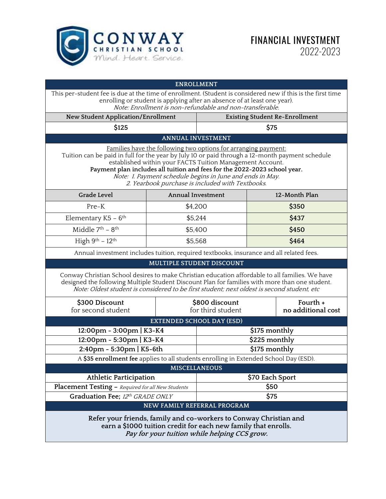

|                                                                                                                                                                                                                                                                                                                                                                                                                              | <b>ENROLLMENT</b>                   |                                       |  |                                |  |
|------------------------------------------------------------------------------------------------------------------------------------------------------------------------------------------------------------------------------------------------------------------------------------------------------------------------------------------------------------------------------------------------------------------------------|-------------------------------------|---------------------------------------|--|--------------------------------|--|
| This per-student fee is due at the time of enrollment. (Student is considered new if this is the first time<br>enrolling or student is applying after an absence of at least one year).<br>Note: Enrollment is non-refundable and non-transferable.                                                                                                                                                                          |                                     |                                       |  |                                |  |
| New Student Application/Enrollment                                                                                                                                                                                                                                                                                                                                                                                           |                                     | <b>Existing Student Re-Enrollment</b> |  |                                |  |
| \$125                                                                                                                                                                                                                                                                                                                                                                                                                        |                                     | \$75                                  |  |                                |  |
| <b>ANNUAL INVESTMENT</b>                                                                                                                                                                                                                                                                                                                                                                                                     |                                     |                                       |  |                                |  |
| Families have the following two options for arranging payment:<br>Tuition can be paid in full for the year by July 10 or paid through a 12-month payment schedule<br>established within your FACTS Tuition Management Account.<br>Payment plan includes all tuition and fees for the 2022-2023 school year.<br>Note: 1. Payment schedule begins in June and ends in May.<br>2. Yearbook purchase is included with Textbooks. |                                     |                                       |  |                                |  |
| <b>Grade Level</b>                                                                                                                                                                                                                                                                                                                                                                                                           | <b>Annual Investment</b>            |                                       |  | 12-Month Plan                  |  |
| Pre-K                                                                                                                                                                                                                                                                                                                                                                                                                        | \$4,200                             |                                       |  | \$350                          |  |
| Elementary K5 - 6 <sup>th</sup>                                                                                                                                                                                                                                                                                                                                                                                              | \$5,244                             |                                       |  | \$437                          |  |
| Middle 7 <sup>th</sup> - 8 <sup>th</sup>                                                                                                                                                                                                                                                                                                                                                                                     | \$5,400                             |                                       |  | \$450                          |  |
| High $9^{th}$ - 12 <sup>th</sup>                                                                                                                                                                                                                                                                                                                                                                                             | \$5,568                             |                                       |  | \$464                          |  |
| Annual investment includes tuition, required textbooks, insurance and all related fees.                                                                                                                                                                                                                                                                                                                                      |                                     |                                       |  |                                |  |
| MULTIPLE STUDENT DISCOUNT                                                                                                                                                                                                                                                                                                                                                                                                    |                                     |                                       |  |                                |  |
| Conway Christian School desires to make Christian education affordable to all families. We have<br>designed the following Multiple Student Discount Plan for families with more than one student.<br>Note: Oldest student is considered to be first student; next oldest is second student, etc                                                                                                                              |                                     |                                       |  |                                |  |
| \$300 Discount<br>for second student                                                                                                                                                                                                                                                                                                                                                                                         | \$800 discount<br>for third student |                                       |  | Fourth +<br>no additional cost |  |
| <b>EXTENDED SCHOOL DAY (ESD)</b>                                                                                                                                                                                                                                                                                                                                                                                             |                                     |                                       |  |                                |  |
| 12:00pm - 3:00pm   K3-K4                                                                                                                                                                                                                                                                                                                                                                                                     |                                     | \$175 monthly                         |  |                                |  |
| 12:00pm - 5:30pm   K3-K4                                                                                                                                                                                                                                                                                                                                                                                                     |                                     | \$225 monthly                         |  |                                |  |
| 2:40pm - 5:30pm   K5-6th                                                                                                                                                                                                                                                                                                                                                                                                     |                                     | \$175 monthly                         |  |                                |  |
| A \$35 enrollment fee applies to all students enrolling in Extended School Day (ESD).                                                                                                                                                                                                                                                                                                                                        |                                     |                                       |  |                                |  |
| <b>MISCELLANEOUS</b>                                                                                                                                                                                                                                                                                                                                                                                                         |                                     |                                       |  |                                |  |
| Athletic Participation                                                                                                                                                                                                                                                                                                                                                                                                       |                                     | \$70 Each Sport                       |  |                                |  |
| Placement Testing - Required for all New Students                                                                                                                                                                                                                                                                                                                                                                            |                                     | \$50                                  |  |                                |  |
| Graduation Fee; 12th GRADE ONLY                                                                                                                                                                                                                                                                                                                                                                                              | \$75                                |                                       |  |                                |  |
| NEW FAMILY REFERRAL PROGRAM                                                                                                                                                                                                                                                                                                                                                                                                  |                                     |                                       |  |                                |  |
| Refer your friends, family and co-workers to Conway Christian and<br>earn a \$1000 tuition credit for each new family that enrolls.<br>Pay for your tuition while helping CCS grow.                                                                                                                                                                                                                                          |                                     |                                       |  |                                |  |